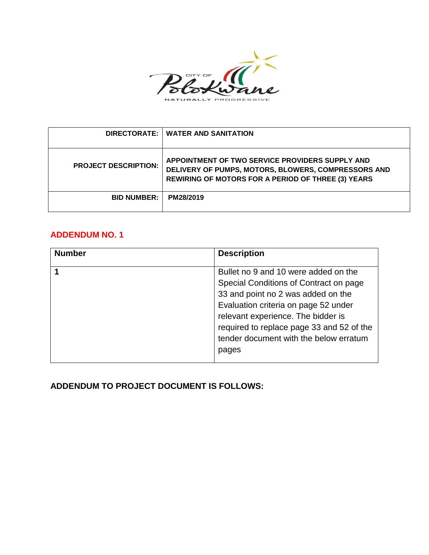

|                             | DIRECTORATE:   WATER AND SANITATION                                                                                                                                 |
|-----------------------------|---------------------------------------------------------------------------------------------------------------------------------------------------------------------|
| <b>PROJECT DESCRIPTION:</b> | APPOINTMENT OF TWO SERVICE PROVIDERS SUPPLY AND<br>DELIVERY OF PUMPS, MOTORS, BLOWERS, COMPRESSORS AND<br><b>REWIRING OF MOTORS FOR A PERIOD OF THREE (3) YEARS</b> |
| <b>BID NUMBER:</b>          | PM28/2019                                                                                                                                                           |

# **ADDENDUM NO. 1**

| <b>Number</b> | <b>Description</b>                                                                                                                                                                                                                                                                                 |
|---------------|----------------------------------------------------------------------------------------------------------------------------------------------------------------------------------------------------------------------------------------------------------------------------------------------------|
|               | Bullet no 9 and 10 were added on the<br>Special Conditions of Contract on page<br>33 and point no 2 was added on the<br>Evaluation criteria on page 52 under<br>relevant experience. The bidder is<br>required to replace page 33 and 52 of the<br>tender document with the below erratum<br>pages |

**ADDENDUM TO PROJECT DOCUMENT IS FOLLOWS:**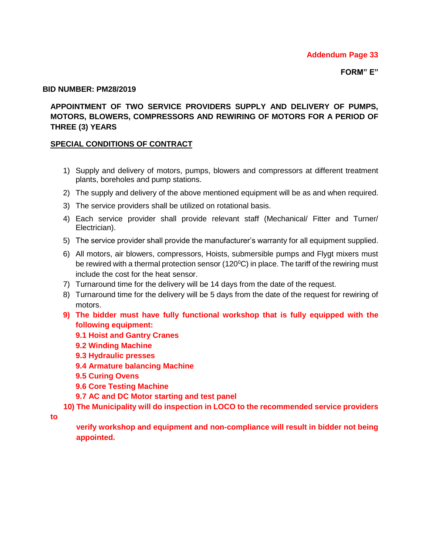#### **BID NUMBER: PM28/2019**

### **APPOINTMENT OF TWO SERVICE PROVIDERS SUPPLY AND DELIVERY OF PUMPS, MOTORS, BLOWERS, COMPRESSORS AND REWIRING OF MOTORS FOR A PERIOD OF THREE (3) YEARS**

### **SPECIAL CONDITIONS OF CONTRACT**

- 1) Supply and delivery of motors, pumps, blowers and compressors at different treatment plants, boreholes and pump stations.
- 2) The supply and delivery of the above mentioned equipment will be as and when required.
- 3) The service providers shall be utilized on rotational basis.
- 4) Each service provider shall provide relevant staff (Mechanical/ Fitter and Turner/ Electrician).
- 5) The service provider shall provide the manufacturer's warranty for all equipment supplied.
- 6) All motors, air blowers, compressors, Hoists, submersible pumps and Flygt mixers must be rewired with a thermal protection sensor (120 $\degree$ C) in place. The tariff of the rewiring must include the cost for the heat sensor.
- 7) Turnaround time for the delivery will be 14 days from the date of the request.
- 8) Turnaround time for the delivery will be 5 days from the date of the request for rewiring of motors.
- **9) The bidder must have fully functional workshop that is fully equipped with the following equipment:**
	- **9.1 Hoist and Gantry Cranes**
	- **9.2 Winding Machine**
	- **9.3 Hydraulic presses**
	- **9.4 Armature balancing Machine**
	- **9.5 Curing Ovens**
	- **9.6 Core Testing Machine**
	- **9.7 AC and DC Motor starting and test panel**
- **10) The Municipality will do inspection in LOCO to the recommended service providers**

**to** 

 **verify workshop and equipment and non-compliance will result in bidder not being appointed.**